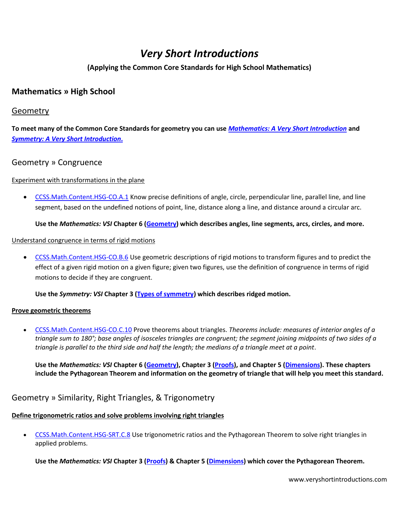# *Very Short Introductions*

### **(Applying the Common Core Standards for High School Mathematics)**

# **Mathematics » High School**

### Geometry

**To meet many of the Common Core Standards for geometry you can use** *[Mathematics: A Very Short Introduction](http://www.veryshortintroductions.com/view/10.1093/actrade/9780192853615.001.0001/actrade-9780192853615)* **and**  *Symmetry: [A Very Short Introduction](http://www.veryshortintroductions.com/view/10.1093/actrade/9780199651986.001.0001/actrade-9780199651986)***.**

### Geometry » Congruence

### Experiment with transformations in the plane

 [CCSS.Math.Content.HSG-CO.A.1](http://www.corestandards.org/Math/Content/HSG/CO/A/1) Know precise definitions of angle, circle, perpendicular line, parallel line, and line segment, based on the undefined notions of point, line, distance along a line, and distance around a circular arc.

### **Use the** *Mathematics: VSI* **Chapter 6 [\(Geometry\)](http://www.veryshortintroductions.com/view/10.1093/actrade/9780192853615.001.0001/actrade-9780192853615-chapter-6) which describes angles, line segments, arcs, circles, and more.**

### Understand congruence in terms of rigid motions

 [CCSS.Math.Content.HSG-CO.B.6](http://www.corestandards.org/Math/Content/HSG/CO/B/6) Use geometric descriptions of rigid motions to transform figures and to predict the effect of a given rigid motion on a given figure; given two figures, use the definition of congruence in terms of rigid motions to decide if they are congruent.

### **Use the** *Symmetry: VSI* **Chapter 3 [\(Types of symmetry\)](http://www.veryshortintroductions.com/view/10.1093/actrade/9780199651986.001.0001/actrade-9780199651986-chapter-4) which describes ridged motion.**

### **Prove geometric theorems**

 [CCSS.Math.Content.HSG-CO.C.10](http://www.corestandards.org/Math/Content/HSG/CO/C/10) Prove theorems about triangles. *Theorems include: measures of interior angles of a triangle sum to 180°; base angles of isosceles triangles are congruent; the segment joining midpoints of two sides of a triangle is parallel to the third side and half the length; the medians of a triangle meet at a point*.

**Use the** *Mathematics: VSI* **Chapter 6 [\(Geometry\)](http://www.veryshortintroductions.com/view/10.1093/actrade/9780192853615.001.0001/actrade-9780192853615-chapter-6), Chapter 3 [\(Proofs\)](http://www.veryshortintroductions.com/view/10.1093/actrade/9780192853615.001.0001/actrade-9780192853615-chapter-3), and Chapter 5 [\(Dimensions\)](http://www.veryshortintroductions.com/view/10.1093/actrade/9780192853615.001.0001/actrade-9780192853615-chapter-5). These chapters include the Pythagorean Theorem and information on the geometry of triangle that will help you meet this standard.**

# Geometry » Similarity, Right Triangles, & Trigonometry

### **Define trigonometric ratios and solve problems involving right triangles**

 [CCSS.Math.Content.HSG-SRT.C.8](http://www.corestandards.org/Math/Content/HSG/SRT/C/8) Use trigonometric ratios and the Pythagorean Theorem to solve right triangles in applied problems.

**Use the** *Mathematics: VSI* **Chapter 3 [\(Proofs\)](http://www.veryshortintroductions.com/view/10.1093/actrade/9780192853615.001.0001/actrade-9780192853615-chapter-3) & Chapter 5 [\(Dimensions\)](http://www.veryshortintroductions.com/view/10.1093/actrade/9780192853615.001.0001/actrade-9780192853615-chapter-5) which cover the Pythagorean Theorem.**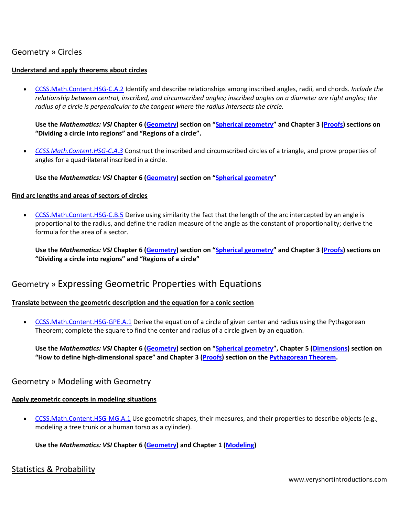# Geometry » Circles

### **Understand and apply theorems about circles**

 [CCSS.Math.Content.HSG-C.A.2](http://www.corestandards.org/Math/Content/HSG/C/A/2) Identify and describe relationships among inscribed angles, radii, and chords. *Include the relationship between central, inscribed, and circumscribed angles; inscribed angles on a diameter are right angles; the radius of a circle is perpendicular to the tangent where the radius intersects the circle.*

**Use the** *Mathematics: VSI* **Chapter 6 [\(Geometry](http://www.veryshortintroductions.com/view/10.1093/actrade/9780192853615.001.0001/actrade-9780192853615-chapter-6)) section on "[Spherical geometry](http://www.veryshortintroductions.com/view/10.1093/actrade/9780192853615.001.0001/actrade-9780192853615-chapter-6#actrade-9780192853615-div1-36)" and Chapter 3 ([Proofs\)](http://www.veryshortintroductions.com/view/10.1093/actrade/9780192853615.001.0001/actrade-9780192853615-chapter-3) sections on "Dividing a circle into regions" and "Regions of a circle".**

 *[CCSS.Math.Content.HSG-C.A.3](http://www.corestandards.org/Math/Content/HSG/C/A/3)* Construct the inscribed and circumscribed circles of a triangle, and prove properties of angles for a quadrilateral inscribed in a circle.

**Use the** *Mathematics: VSI* **Chapter 6 [\(Geometry](http://www.veryshortintroductions.com/view/10.1093/actrade/9780192853615.001.0001/actrade-9780192853615-chapter-6)) section on "[Spherical geometry](http://www.veryshortintroductions.com/view/10.1093/actrade/9780192853615.001.0001/actrade-9780192853615-chapter-6#actrade-9780192853615-div1-36)"**

#### **Find arc lengths and areas of sectors of circles**

 [CCSS.Math.Content.HSG-C.B.5](http://www.corestandards.org/Math/Content/HSG/C/B/5) Derive using similarity the fact that the length of the arc intercepted by an angle is proportional to the radius, and define the radian measure of the angle as the constant of proportionality; derive the formula for the area of a sector.

**Use the** *Mathematics: VSI* **Chapter 6 [\(Geometry](http://www.veryshortintroductions.com/view/10.1093/actrade/9780192853615.001.0001/actrade-9780192853615-chapter-6)) section on "[Spherical geometry](http://www.veryshortintroductions.com/view/10.1093/actrade/9780192853615.001.0001/actrade-9780192853615-chapter-6#actrade-9780192853615-div1-36)" and Chapter 3 ([Proofs\)](http://www.veryshortintroductions.com/view/10.1093/actrade/9780192853615.001.0001/actrade-9780192853615-chapter-3) sections on "Dividing a circle into regions" and "Regions of a circle"**

# Geometry » Expressing Geometric Properties with Equations

### **Translate between the geometric description and the equation for a conic section**

• [CCSS.Math.Content.HSG-GPE.A.1](http://www.corestandards.org/Math/Content/HSG/GPE/A/1) Derive the equation of a circle of given center and radius using the Pythagorean Theorem; complete the square to find the center and radius of a circle given by an equation.

**Use the** *Mathematics: VSI* **Chapter 6 [\(Geometry](http://www.veryshortintroductions.com/view/10.1093/actrade/9780192853615.001.0001/actrade-9780192853615-chapter-6)) section on "[Spherical geometry](http://www.veryshortintroductions.com/view/10.1093/actrade/9780192853615.001.0001/actrade-9780192853615-chapter-6#actrade-9780192853615-div1-36)", Chapter 5 ([Dimensions\)](http://www.veryshortintroductions.com/view/10.1093/actrade/9780192853615.001.0001/actrade-9780192853615-chapter-5) section on "How to define high‐dimensional space" and Chapter 3 ([Proofs\)](http://www.veryshortintroductions.com/view/10.1093/actrade/9780192853615.001.0001/actrade-9780192853615-chapter-3) section on th[e Pythagorean Theorem.](http://www.veryshortintroductions.com/view/10.1093/actrade/9780192853615.001.0001/actrade-9780192853615-chapter-3#actrade-9780192853615-div1-21)**

### Geometry » Modeling with Geometry

### **Apply geometric concepts in modeling situations**

[CCSS.Math.Content.HSG-MG.A.1](http://www.corestandards.org/Math/Content/HSG/MG/A/1) Use geometric shapes, their measures, and their properties to describe objects (e.g., modeling a tree trunk or a human torso as a cylinder).

**Use the** *Mathematics: VSI* **Chapter 6 [\(Geometry\)](http://www.veryshortintroductions.com/view/10.1093/actrade/9780192853615.001.0001/actrade-9780192853615-chapter-6) and Chapter 1 [\(Modeling\)](http://www.veryshortintroductions.com/view/10.1093/actrade/9780192853615.001.0001/actrade-9780192853615-chapter-1)**

### Statistics & Probability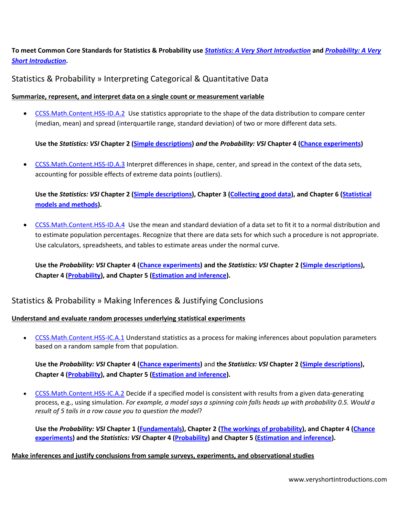**To meet Common Core Standards for Statistics & Probability use** *[Statistics: A Very Short Introduction](http://www.veryshortintroductions.com/view/10.1093/actrade/9780199233564.001.0001/actrade-9780199233564?rskey=i92dLA&result=8)* **and** *[Probability: A Very](http://www.veryshortintroductions.com/view/10.1093/actrade/9780199588480.001.0001/actrade-9780199588480?rskey=DWBXrZ&result=7)  [Short Introduction](http://www.veryshortintroductions.com/view/10.1093/actrade/9780199588480.001.0001/actrade-9780199588480?rskey=DWBXrZ&result=7)***.**

Statistics & Probability » Interpreting Categorical & Quantitative Data

### **Summarize, represent, and interpret data on a single count or measurement variable**

[CCSS.Math.Content.HSS-ID.A.2](http://www.corestandards.org/Math/Content/HSS/ID/A/2) Use statistics appropriate to the shape of the data distribution to compare center (median, mean) and spread (interquartile range, standard deviation) of two or more different data sets.

**Use the** *Statistics: VSI* **Chapter 2 [\(Simple descriptions\)](http://www.veryshortintroductions.com/view/10.1093/actrade/9780199233564.001.0001/actrade-9780199233564-chapter-2)** *and* **the** *Probability: VSI* **Chapter 4 [\(Chance experiments\)](http://www.veryshortintroductions.com/view/10.1093/actrade/9780199588480.001.0001/actrade-9780199588480-chapter-4)** 

 [CCSS.Math.Content.HSS-ID.A.3](http://www.corestandards.org/Math/Content/HSS/ID/A/3) Interpret differences in shape, center, and spread in the context of the data sets, accounting for possible effects of extreme data points (outliers).

**Use the** *Statistics: VSI* **Chapter 2 [\(Simple descriptions\)](http://www.veryshortintroductions.com/view/10.1093/actrade/9780199233564.001.0001/actrade-9780199233564-chapter-2), Chapter 3 [\(Collecting good data\)](http://www.veryshortintroductions.com/view/10.1093/actrade/9780199233564.001.0001/actrade-9780199233564-chapter-3), and Chapter 6 [\(Statistical](http://www.veryshortintroductions.com/view/10.1093/actrade/9780199233564.001.0001/actrade-9780199233564-chapter-6)  [models and methods\)](http://www.veryshortintroductions.com/view/10.1093/actrade/9780199233564.001.0001/actrade-9780199233564-chapter-6).**

 [CCSS.Math.Content.HSS-ID.A.4](http://www.corestandards.org/Math/Content/HSS/ID/A/4) Use the mean and standard deviation of a data set to fit it to a normal distribution and to estimate population percentages. Recognize that there are data sets for which such a procedure is not appropriate. Use calculators, spreadsheets, and tables to estimate areas under the normal curve.

**Use the** *Probability: VSI* **Chapter 4 [\(Chance experiments\)](http://www.veryshortintroductions.com/view/10.1093/actrade/9780199588480.001.0001/actrade-9780199588480-chapter-4) and the** *Statistics: VSI* **Chapter 2 [\(Simple descriptions\)](http://www.veryshortintroductions.com/view/10.1093/actrade/9780199233564.001.0001/actrade-9780199233564-chapter-2), Chapter 4 [\(Probability\)](http://www.veryshortintroductions.com/view/10.1093/actrade/9780199233564.001.0001/actrade-9780199233564-chapter-4), and Chapter 5 [\(Estimation and inference\)](http://www.veryshortintroductions.com/view/10.1093/actrade/9780199233564.001.0001/actrade-9780199233564-chapter-5).**

# Statistics & Probability » Making Inferences & Justifying Conclusions

### **Understand and evaluate random processes underlying statistical experiments**

 [CCSS.Math.Content.HSS-IC.A.1](http://www.corestandards.org/Math/Content/HSS/IC/A/1) Understand statistics as a process for making inferences about population parameters based on a random sample from that population.

**Use the** *Probability: VSI* **Chapter 4 [\(Chance experiments\)](http://www.veryshortintroductions.com/view/10.1093/actrade/9780199588480.001.0001/actrade-9780199588480-chapter-4)** and **the** *Statistics: VSI* **Chapter 2 [\(Simple descriptions\)](http://www.veryshortintroductions.com/view/10.1093/actrade/9780199233564.001.0001/actrade-9780199233564-chapter-2), Chapter 4 [\(Probability\)](http://www.veryshortintroductions.com/view/10.1093/actrade/9780199233564.001.0001/actrade-9780199233564-chapter-4), and Chapter 5 [\(Estimation and inference\)](http://www.veryshortintroductions.com/view/10.1093/actrade/9780199233564.001.0001/actrade-9780199233564-chapter-5).**

 [CCSS.Math.Content.HSS-IC.A.2](http://www.corestandards.org/Math/Content/HSS/IC/A/2) Decide if a specified model is consistent with results from a given data-generating process, e.g., using simulation. *For example, a model says a spinning coin falls heads up with probability 0.5. Would a result of 5 tails in a row cause you to question the model*?

**Use the** *Probability: VSI* **Chapter 1 [\(Fundamentals\)](http://www.veryshortintroductions.com/view/10.1093/actrade/9780199588480.001.0001/actrade-9780199588480-chapter-1), Chapter 2 [\(The workings of probability\)](http://www.veryshortintroductions.com/view/10.1093/actrade/9780199588480.001.0001/actrade-9780199588480-chapter-2), and Chapter 4 [\(Chance](http://www.veryshortintroductions.com/view/10.1093/actrade/9780199588480.001.0001/actrade-9780199588480-chapter-4)  [experiments\)](http://www.veryshortintroductions.com/view/10.1093/actrade/9780199588480.001.0001/actrade-9780199588480-chapter-4) and the** *Statistics: VSI* **Chapter 4 [\(Probability\)](http://www.veryshortintroductions.com/view/10.1093/actrade/9780199233564.001.0001/actrade-9780199233564-chapter-4) and Chapter 5 [\(Estimation and inference\)](http://www.veryshortintroductions.com/view/10.1093/actrade/9780199233564.001.0001/actrade-9780199233564-chapter-5).**

### **Make inferences and justify conclusions from sample surveys, experiments, and observational studies**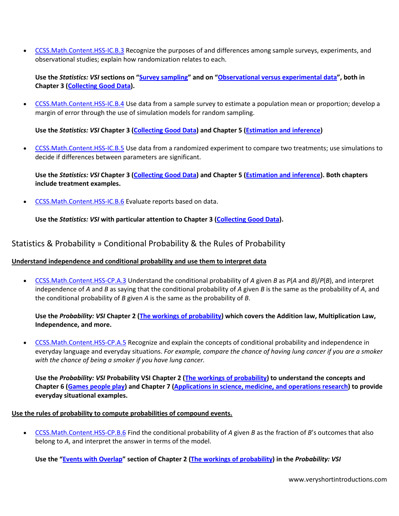[CCSS.Math.Content.HSS-IC.B.3](http://www.corestandards.org/Math/Content/HSS/IC/B/3) Recognize the purposes of and differences among sample surveys, experiments, and observational studies; explain how randomization relates to each.

**Use the** *Statistics: VSI* **sections on "[Survey sampling](http://www.veryshortintroductions.com/view/10.1093/actrade/9780199233564.001.0001/actrade-9780199233564-chapter-3#actrade-9780199233564-div1-18)" and on "[Observational versus experimental data](http://www.veryshortintroductions.com/view/10.1093/actrade/9780199233564.001.0001/actrade-9780199233564-chapter-3#actrade-9780199233564-div1-16)", both in Chapter 3 [\(Collecting Good Data\)](http://www.veryshortintroductions.com/view/10.1093/actrade/9780199233564.001.0001/actrade-9780199233564-chapter-3).**

 [CCSS.Math.Content.HSS-IC.B.4](http://www.corestandards.org/Math/Content/HSS/IC/B/4) Use data from a sample survey to estimate a population mean or proportion; develop a margin of error through the use of simulation models for random sampling.

**Use the** *Statistics: VSI* **Chapter 3 [\(Collecting Good Data\)](http://www.veryshortintroductions.com/view/10.1093/actrade/9780199233564.001.0001/actrade-9780199233564-chapter-3) and Chapter 5 [\(Estimation and inference\)](http://www.veryshortintroductions.com/view/10.1093/actrade/9780199233564.001.0001/actrade-9780199233564-chapter-5)**

 [CCSS.Math.Content.HSS-IC.B.5](http://www.corestandards.org/Math/Content/HSS/IC/B/5) Use data from a randomized experiment to compare two treatments; use simulations to decide if differences between parameters are significant.

**Use the** *Statistics: VSI* **Chapter 3 [\(Collecting Good Data\)](http://www.veryshortintroductions.com/view/10.1093/actrade/9780199233564.001.0001/actrade-9780199233564-chapter-3) and Chapter 5 [\(Estimation and inference\)](http://www.veryshortintroductions.com/view/10.1093/actrade/9780199233564.001.0001/actrade-9780199233564-chapter-5). Both chapters include treatment examples.**

[CCSS.Math.Content.HSS-IC.B.6](http://www.corestandards.org/Math/Content/HSS/IC/B/6) Evaluate reports based on data.

**Use the** *Statistics: VSI* **with particular attention to Chapter 3 [\(Collecting Good Data\)](http://www.veryshortintroductions.com/view/10.1093/actrade/9780199233564.001.0001/actrade-9780199233564-chapter-3).**

### Statistics & Probability » Conditional Probability & the Rules of Probability

### **Understand independence and conditional probability and use them to interpret data**

 [CCSS.Math.Content.HSS-CP.A.3](http://www.corestandards.org/Math/Content/HSS/CP/A/3) Understand the conditional probability of *A* given *B* as *P*(*A* and *B*)/*P*(*B*), and interpret independence of *A* and *B* as saying that the conditional probability of *A* given *B* is the same as the probability of *A*, and the conditional probability of *B* given *A* is the same as the probability of *B*.

**Use the** *Probability: VSI* **Chapter 2 [\(The workings of probability\)](http://www.veryshortintroductions.com/view/10.1093/actrade/9780199588480.001.0001/actrade-9780199588480-chapter-2) which covers the Addition law, Multiplication Law, Independence, and more.**

 [CCSS.Math.Content.HSS-CP.A.5](http://www.corestandards.org/Math/Content/HSS/CP/A/5) Recognize and explain the concepts of conditional probability and independence in everyday language and everyday situations. *For example, compare the chance of having lung cancer if you are a smoker with the chance of being a smoker if you have lung cancer.* 

**Use the** *Probability: VSI* **Probability VSI Chapter 2 [\(The workings of probability\)](http://www.veryshortintroductions.com/view/10.1093/actrade/9780199588480.001.0001/actrade-9780199588480-chapter-2) to understand the concepts and Chapter 6 [\(Games people play\)](http://www.veryshortintroductions.com/view/10.1093/actrade/9780199588480.001.0001/actrade-9780199588480-chapter-6) and Chapter 7 [\(Applications in science, medicine, and operations research\)](http://www.veryshortintroductions.com/view/10.1093/actrade/9780199588480.001.0001/actrade-9780199588480-chapter-7) to provide everyday situational examples.**

### **Use the rules of probability to compute probabilities of compound events.**

 [CCSS.Math.Content.HSS-CP.B.6](http://www.corestandards.org/Math/Content/HSS/CP/B/6) Find the conditional probability of *A* given *B* as the fraction of *B*'s outcomes that also belong to *A*, and interpret the answer in terms of the model.

**Use the "[Events with Overlap](http://www.veryshortintroductions.com/view/10.1093/actrade/9780199588480.001.0001/actrade-9780199588480-chapter-2#actrade-9780199588480-div1-13)" section of Chapter 2 [\(The workings of probability\)](http://www.veryshortintroductions.com/view/10.1093/actrade/9780199588480.001.0001/actrade-9780199588480-chapter-2) in the** *Probability: VSI*